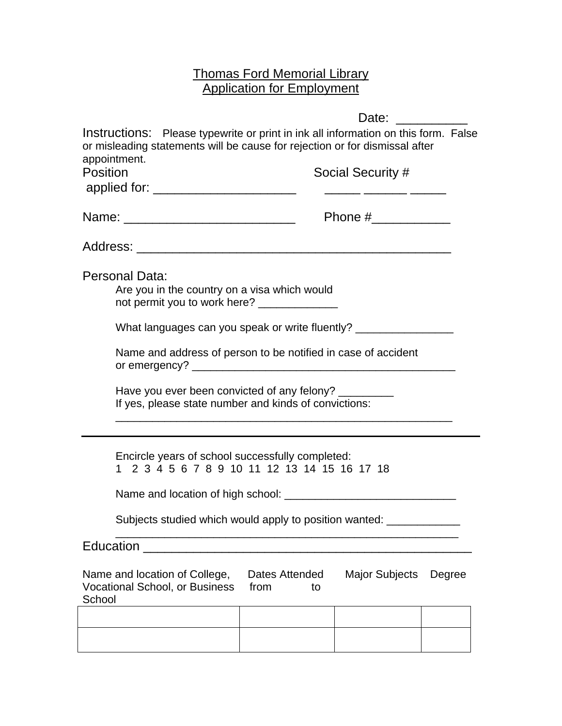## Thomas Ford Memorial Library **Application for Employment**

|                                                                                                                                                                                   |                              | Date:                 |        |
|-----------------------------------------------------------------------------------------------------------------------------------------------------------------------------------|------------------------------|-----------------------|--------|
| Instructions: Please typewrite or print in ink all information on this form. False<br>or misleading statements will be cause for rejection or for dismissal after<br>appointment. |                              |                       |        |
| <b>Position</b>                                                                                                                                                                   |                              | Social Security #     |        |
| applied for: _________________________                                                                                                                                            |                              |                       |        |
|                                                                                                                                                                                   |                              |                       |        |
|                                                                                                                                                                                   |                              |                       |        |
| Personal Data:<br>Are you in the country on a visa which would<br>not permit you to work here? _______________                                                                    |                              |                       |        |
| What languages can you speak or write fluently? _______                                                                                                                           |                              |                       |        |
| Name and address of person to be notified in case of accident                                                                                                                     |                              |                       |        |
| Have you ever been convicted of any felony?<br>If yes, please state number and kinds of convictions:                                                                              |                              |                       |        |
| Encircle years of school successfully completed:<br>1 2 3 4 5 6 7 8 9 10 11 12 13 14 15 16 17 18                                                                                  |                              |                       |        |
|                                                                                                                                                                                   |                              |                       |        |
| Subjects studied which would apply to position wanted:                                                                                                                            |                              |                       |        |
| Education                                                                                                                                                                         |                              |                       |        |
| Name and location of College,<br>Vocational School, or Business<br>School                                                                                                         | Dates Attended<br>from<br>to | <b>Major Subjects</b> | Degree |
|                                                                                                                                                                                   |                              |                       |        |
|                                                                                                                                                                                   |                              |                       |        |
|                                                                                                                                                                                   |                              |                       |        |